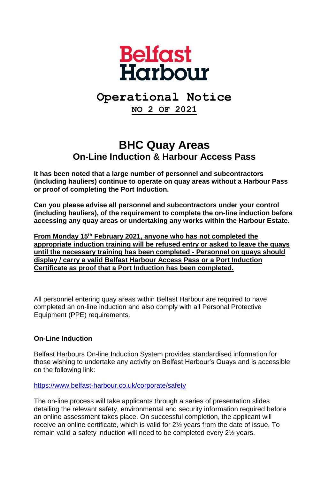

# **Operational Notice**

**NO 2 OF 2021**

# **BHC Quay Areas On-Line Induction & Harbour Access Pass**

**It has been noted that a large number of personnel and subcontractors (including hauliers) continue to operate on quay areas without a Harbour Pass or proof of completing the Port Induction.**

**Can you please advise all personnel and subcontractors under your control (including hauliers), of the requirement to complete the on-line induction before accessing any quay areas or undertaking any works within the Harbour Estate.**

**From Monday 15th February 2021, anyone who has not completed the appropriate induction training will be refused entry or asked to leave the quays until the necessary training has been completed - Personnel on quays should display / carry a valid Belfast Harbour Access Pass or a Port Induction Certificate as proof that a Port Induction has been completed.**

All personnel entering quay areas within Belfast Harbour are required to have completed an on-line induction and also comply with all Personal Protective Equipment (PPE) requirements.

## **On-Line Induction**

Belfast Harbours On-line Induction System provides standardised information for those wishing to undertake any activity on Belfast Harbour's Quays and is accessible on the following link:

### <https://www.belfast-harbour.co.uk/corporate/safety>

The on-line process will take applicants through a series of presentation slides detailing the relevant safety, environmental and security information required before an online assessment takes place. On successful completion, the applicant will receive an online certificate, which is valid for 2½ years from the date of issue. To remain valid a safety induction will need to be completed every 2½ years.